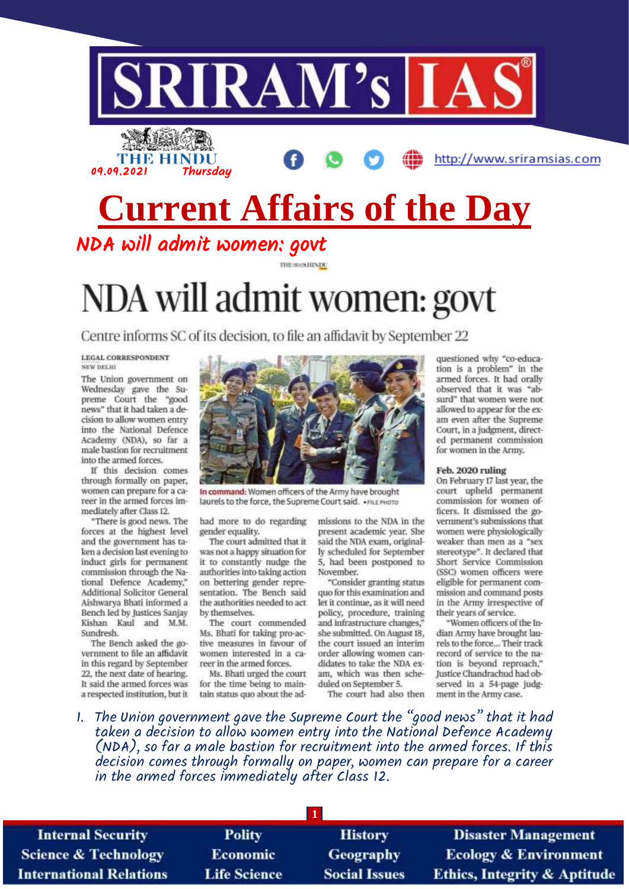

**THE HINDU** 09.09.2021 Thursday

http://www.sriramsias.com

# **Current Affairs of the Day**

THE MAINTINDU

NDA will admit women: govt

# NDA will admit women: govt

Centre informs SC of its decision, to file an affidavit by September 22

LECAL CORRESPONDENT NKW DELHI

The Union government on Wednesday gave the Supreme Court the "good news" that it had taken a decision to allow women entry into the National Defence Academy (NDA), so far a male bastion for recruitment into the armed forces.

If this decision comes through formally on paper, women can prepare for a career in the armed forces immediately after Class 12.

"There is good news. The forces at the highest level and the government has taken a decision last evening to induct girls for permanent commission through the National Defence Academy," Additional Solicitor General Aishwarya Bhati informed a Bench led by Justices Sanjay Kishan Kaul and M.M. Sundresh.

The Bench asked the government to file an affidavit in this regard by September 22, the next date of hearing. It said the armed forces was a respected institution, but it



In command: Women officers of the Army have brought laurels to the force, the Supreme Court said. •FILE PHOTO

had more to do regarding gender equality.

The court admitted that it was not a happy situation for it to constantly nudge the authorities into taking action on bettering gender representation. The Bench said the authorities needed to act by themselves.

The court commended Ms. Bhati for taking pro-active measures in favour of women interested in a career in the armed forces.

Ms. Bhati urged the court for the time being to maintain status quo about the admissions to the NDA in the present academic year. She said the NDA exam, originally scheduled for September 5, had been postponed to November.

"Consider granting status quo for this examination and let it continue, as it will need policy, procedure, training and infrastructure changes,' she submitted. On August 18, the court issued an interim order allowing women candidates to take the NDA exam, which was then scheduled on September 5.

The court had also then

questioned why "co-education is a problem" in the armed forces. It had orally observed that it was "absurd" that women were not allowed to appear for the exam even after the Supreme Court, in a judgment, directed permanent commission for women in the Army.

#### Feb. 2020 ruling

On February 17 last year, the court upheld permanent commission for women officers. It dismissed the government's submissions that women were physiologically weaker than men as a "sex stereotype". It declared that Short Service Commission (SSC) women officers were eligible for permanent commission and command posts in the Army irrespective of their years of service.

"Women officers of the Indian Army have brought laurels to the force... Their track record of service to the nation is beyond reproach," Justice Chandrachud had observed in a 54-page judgment in the Army case.

1. The Union government gave the Supreme Court the "good news" that it had taken a decision to allow women entry into the National Defence Academy (NDA), so far a male bastion for recruitment into the armed forces. If this decision comes through formally on paper, women can prepare for a career in the armed forces immediately after Class 12.

| <b>Internal Security</b>        | <b>Polity</b>       | <b>History</b>       | <b>Disaster Management</b>              |
|---------------------------------|---------------------|----------------------|-----------------------------------------|
| <b>Science &amp; Technology</b> | <b>Economic</b>     | <b>Geography</b>     | <b>Ecology &amp; Environment</b>        |
| <b>International Relations</b>  | <b>Life Science</b> | <b>Social Issues</b> | <b>Ethics, Integrity &amp; Aptitude</b> |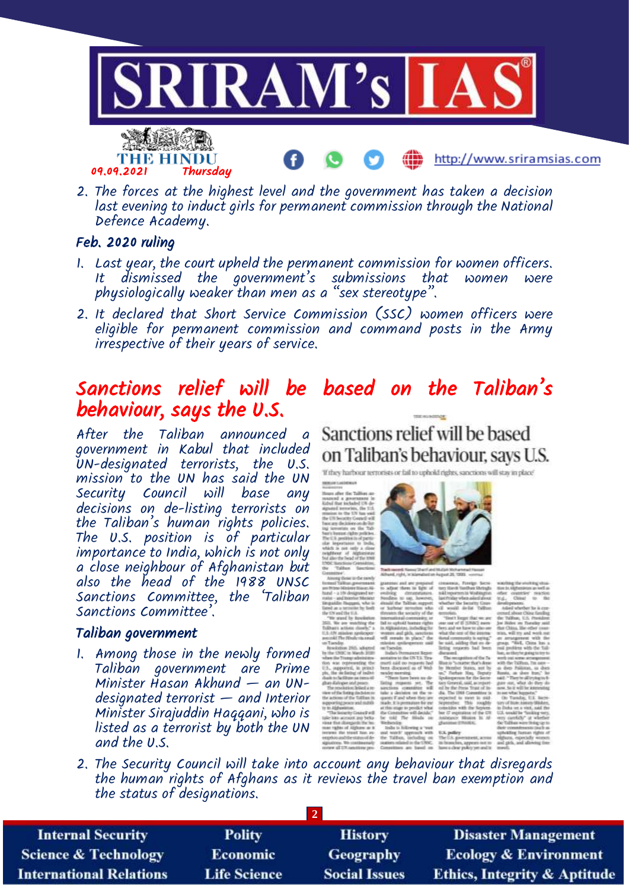

2. The forces at the highest level and the government has taken a decision last evening to induct girls for permanent commission through the National Defence Academy.

#### Feb. 2020 ruling

- 1. Last year, the court upheld the permanent commission for women officers. dismissed the government's submissions that women were physiologically weaker than men as a "sex stereotype".
- 2. It declared that Short Service Commission (SSC) women officers were eligible for permanent commission and command posts in the Army irrespective of their years of service.

# Sanctions relief will be based on the Taliban's behaviour, says the U.S.

After the Taliban announced a government in Kabul that included UN-designated terrorists, the U.S. mission to the UN has said the UN<br>Securitu Council will base any Security Council will base decisions on de-listing terrorists on the Taliban's human rights policies. The U.S. position is of particular importance to India, which is not only a close neighbour of Afghanistan but also the head of the 1988 UNSC Sanctions Committee, the 'Taliban Sanctions Committee'.

#### Taliban government

1. Among those in the newly formed Taliban government are Prime Minister Hasan Akhund — an UNdesignated terrorist — and Interior Minister Sirajuddin Haqqani, who is listed as a terrorist by both the UN and the U.S.

Sanctions relief will be based on Taliban's behaviour, says U.S.

If they harbour terrorists or fail to uphold rights, sanctions will stay in place!

 $\begin{array}{ll} \hbox{no~and~are~proposed} \\ \hbox{no~then~in~tgrus~of} \\ \hbox{g} & \hbox{dimensional} \\ \hbox{g} & \hbox{dimensional} \\ \hbox{compansion.} \end{array}$ 

the infinite DSTS Transfer<br>1 said on reguests had<br>1 discussed us of Web

Coenday.<br>Assolution 2015, subgreef<br>The 1990 in March 2020<br>Inn file Transprachmidities<br>in Jose Jonnesvilles Her

ists was regenerating<br>15. supported, in pri<br>but the mediating of ted

2. The Security Council will take into account any behaviour that disregards the human rights of Afghans as it reviews the travel ban exemption and the status of designations.

| <b>Internal Security</b>        | <b>Polity</b>       | <b>History</b>       | <b>Disaster Management</b>              |
|---------------------------------|---------------------|----------------------|-----------------------------------------|
| <b>Science &amp; Technology</b> | <b>Economic</b>     | <b>Geography</b>     | <b>Ecology &amp; Environment</b>        |
| <b>International Relations</b>  | <b>Life Science</b> | <b>Social Issues</b> | <b>Ethics, Integrity &amp; Aptitude</b> |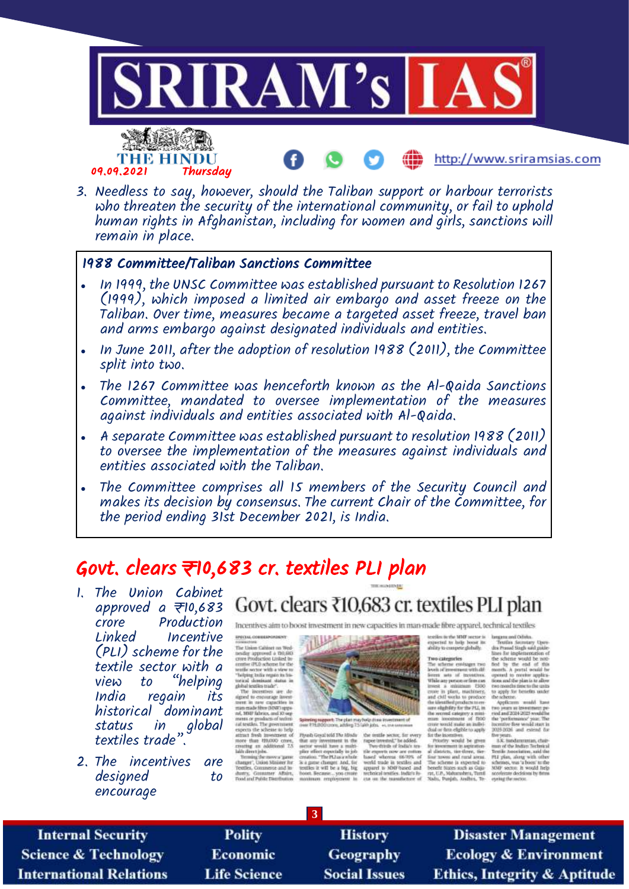

3. Needless to say, however, should the Taliban support or harbour terrorists who threaten the security of the international community, or fail to uphold human rights in Afghanistan, including for women and girls, sanctions will remain in place.

### 1988 Committee/Taliban Sanctions Committee

- In 1999, the UNSC Committee was established pursuant to Resolution 1267 (1999), which imposed a limited air embargo and asset freeze on the Taliban. Over time, measures became a targeted asset freeze, travel ban and arms embargo against designated individuals and entities.
- In June 2011, after the adoption of resolution 1988 (2011), the Committee split into two.
- The 1267 Committee was henceforth known as the Al-Qaida Sanctions Committee, mandated to oversee implementation of the measures against individuals and entities associated with Al-Qaida.
- A separate Committee was established pursuant to resolution 1988 (2011) to oversee the implementation of the measures against individuals and entities associated with the Taliban.
- The Committee comprises all 15 members of the Security Council and makes its decision by consensus. The current Chair of the Committee, for the period ending 31st December 2021, is India.

# Govt. clears ₹10,683 cr. textiles PLI plan

- 1. The Union Cabinet approved a  $\overline{\tau}$ 10,683 crore Production Incentive (PLI) scheme for the textile sector with a "helping India regain its historical dominant status in global textiles trade".
- 2. The incentives are designed to encourage

# Govt. clears ₹10,683 cr. textiles PLI plan

Incentives aim to hoost investment in new capacities in man-made fibre apparel, rechnical textiles

*EPECIAL CORRESPONDENT* are<br>case constant and Technical constants and Technical constants and Technical constants<br>and the settle of the constant of the constant of the settle sector with a view in<br>the settle sector with a view in the set of the

ral, MMF fabrics, and 30 sup-<br>means or gradiates of such radio calculates. The government<br>expects the scheme in help<br>attract fresh investment of<br>more time. Hallolo crows,<br>crowing an additional 25<br>laids directions.

**3**



Figure Gaussi with The Hitsche – the symble section, for every that any investment in the – rape investment and shown representation of the symble matter regular regular space plane and some plane symble matter is a gause Plywsh Great wid The Hit

ciutie MMF accur is<br>sel tu help boost in:<br>to compres globally. experient to

Two categories

longana and Cubina.<br>"Festiles Secretary Upers<br>dis Praual Singh said guide<br>lines for implementation of lines for implementation of<br>the scheme would be south<br>fied by the end of this<br>month. A purtal would be<br>operated to receive applica-<br>bost and the plan is to allow<br>two months fracts to the units The urbene envisages two<br>lawsh of meeting urbs different sets of the outbreak<br>Wale any person or free can<br>lived a summary 1500

gross a manuar (200)<br>crore in plant, machinery,<br>and chil works to produce two months lime to the units<br>to apply for benefits under<br>the scheme.<br>Applicants would have<br>two years as investment period and 2014-2025 wouldhe the identified products to en-<br>sure eligibility for the PLI, in-<br>the central category a minithe secret category x mini-<br>man - investment of 1100<br>crore would make an indivi-<br>dual or firm eligible to apply bcentive fire would start in<br>1025-2026 and estend for

find or free eigenstern apply the fine state in<br>certainty, we<br>add be grown from the state of the state of the state of<br> $\alpha$  and  $\alpha$  <br>distribution is the state of the fine state of the Schemic is a<br>stated in the state of 2025-2026 and estend for the years.<br>
The years and the bulky rechnical control of the bulky relation of the bulky<br>
The plan, along with the PLI yield, along with other<br>
with the schemes, was a boost to the<br>
MPT years, alon

**Internal Security Science & Technology International Relations** 

**Polity Economic Life Science** 

History Geography **Social Issues** 

**Disaster Management Ecology & Environment Ethics, Integrity & Aptitude**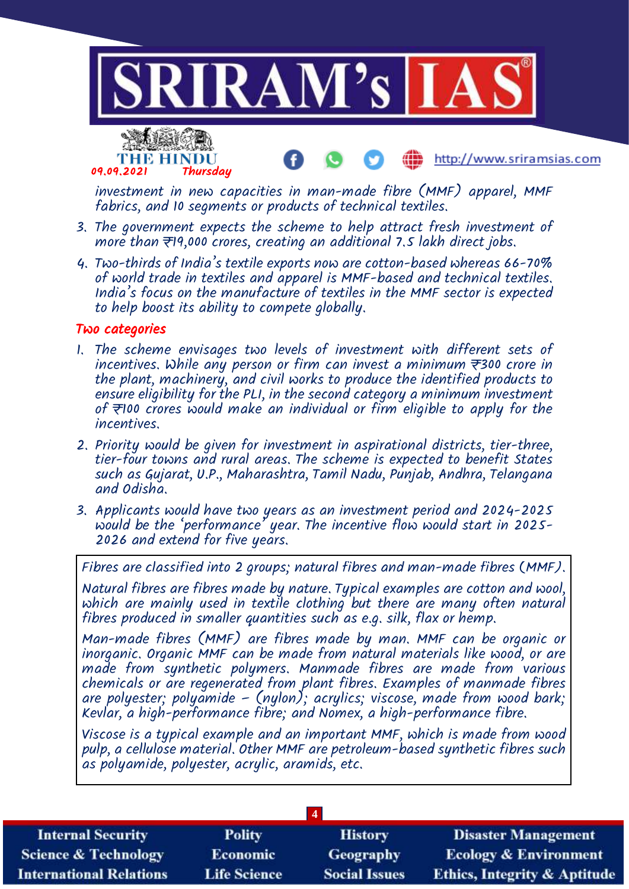

investment in new capacities in man-made fibre (MMF) apparel, MMF fabrics, and 10 segments or products of technical textiles.

- 3. The government expects the scheme to help attract fresh investment of more than  $\overline{\tau}$ 19,000 crores, creating an additional 7.5 lakh direct jobs.
- 4. Two-thirds of India's textile exports now are cotton-based whereas 66-70% of world trade in textiles and apparel is MMF-based and technical textiles. India's focus on the manufacture of textiles in the MMF sector is expected to help boost its ability to compete globally.

#### Two categories

- 1. The scheme envisages two levels of investment with different sets of incentives. While any person or firm can invest a minimum  $\overline{\tau}$ 300 crore in the plant, machinery, and civil works to produce the identified products to ensure eligibility for the PLI, in the second category a minimum investment of  $\overline{z}$ 100 crores would make an individual or firm eligible to apply for the incentives.
- 2. Priority would be given for investment in aspirational districts, tier-three, tier-four towns and rural areas. The scheme is expected to benefit States such as Gujarat, U.P., Maharashtra, Tamil Nadu, Punjab, Andhra, Telangana and Odisha.
- 3. Applicants would have two years as an investment period and 2024-2025 would be the 'performance' year. The incentive flow would start in 2025- 2026 and extend for five years.

Fibres are classified into 2 groups; natural fibres and man-made fibres (MMF).

Natural fibres are fibres made by nature. Typical examples are cotton and wool, which are mainly used in textile clothing but there are many often natural fibres produced in smaller quantities such as e.g. silk, flax or hemp.

Man-made fibres (MMF) are fibres made by man. MMF can be organic or inorganic. Organic MMF can be made from natural materials like wood, or are made from synthetic polymers. Manmade fibres are made from various chemicals or are regenerated from plant fibres. Examples of manmade fibres are polyester; polyamide – (nylon); acrylics; viscose, made from wood bark; Kevlar, a high-performance fibre; and Nomex, a high-performance fibre.

Viscose is a typical example and an important MMF, which is made from wood pulp, a cellulose material. Other MMF are petroleum-based synthetic fibres such as polyamide, polyester, acrylic, aramids, etc.

|                                 |                     | $\overline{4}$       |                                         |
|---------------------------------|---------------------|----------------------|-----------------------------------------|
| <b>Internal Security</b>        | <b>Polity</b>       | <b>History</b>       | <b>Disaster Management</b>              |
| <b>Science &amp; Technology</b> | <b>Economic</b>     | <b>Geography</b>     | <b>Ecology &amp; Environment</b>        |
| <b>International Relations</b>  | <b>Life Science</b> | <b>Social Issues</b> | <b>Ethics, Integrity &amp; Aptitude</b> |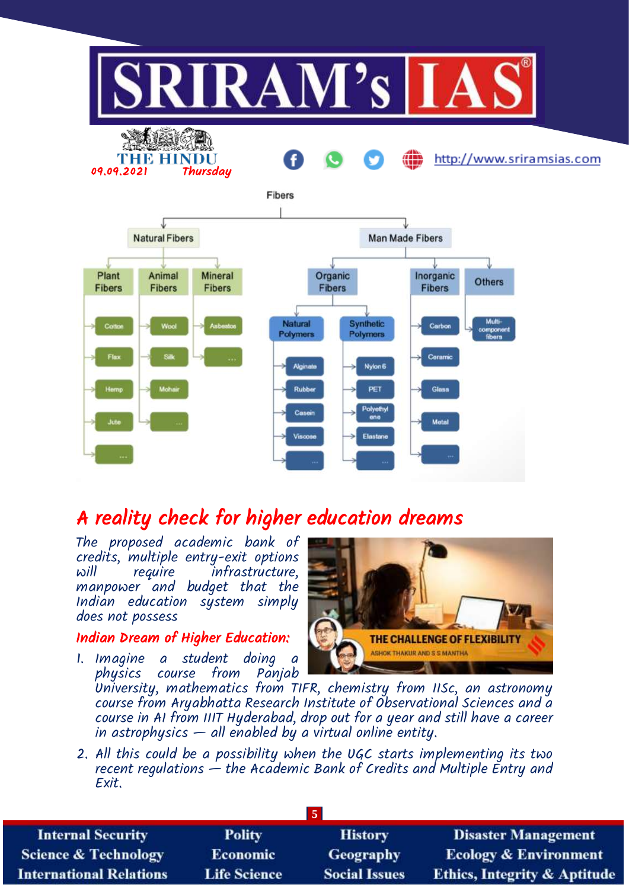

# A reality check for higher education dreams

The proposed academic bank of credits, multiple entry-exit options infrastructure, manpower and budget that the Indian education system simply does not possess

## Indian Dream of Higher Education:

1. Imagine a student doing a physics course from Panjab



University, mathematics from TIFR, chemistry from IISc, an astronomy course from Aryabhatta Research Institute of Observational Sciences and a course in AI from IIIT Hyderabad, drop out for a year and still have a career in astrophysics  $-$  all enabled by a virtual online entity.

2. All this could be a possibility when the UGC starts implementing its two recent regulations  $\dot{-}$  the Academic Bank of Credits and Multiple Entry and Exit.

| <b>Internal Security</b>        | <b>Polity</b>       | <b>History</b>       | <b>Disaster Management</b>              |
|---------------------------------|---------------------|----------------------|-----------------------------------------|
| <b>Science &amp; Technology</b> | <b>Economic</b>     | <b>Geography</b>     | <b>Ecology &amp; Environment</b>        |
| <b>International Relations</b>  | <b>Life Science</b> | <b>Social Issues</b> | <b>Ethics, Integrity &amp; Aptitude</b> |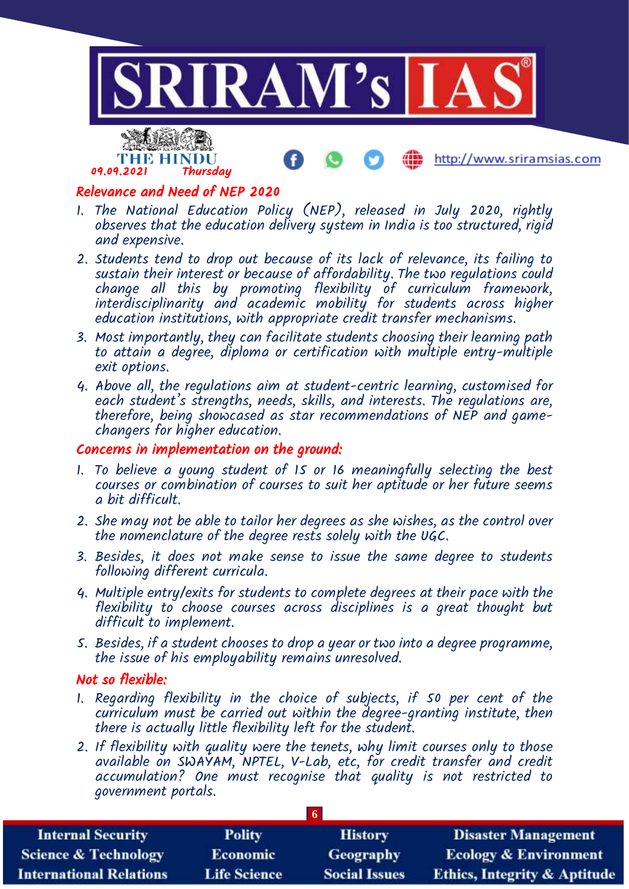

## Relevance and Need of NEP 2020

- 1. The National Education Policy (NEP), released in July 2020, rightly observes that the education delivery system in India is too structured, rigid and expensive.
- 2. Students tend to drop out because of its lack of relevance, its failing to sustain their interest or because of affordability. The two regulations could change all this by promoting flexibility of curriculum framework, interdisciplinarity and academic mobility for students across higher education institutions, with appropriate credit transfer mechanisms.
- 3. Most importantly, they can facilitate students choosing their learning path to attain a degree, diploma or certification with multiple entry-multiple exit options.
- 4. Above all, the regulations aim at student-centric learning, customised for each student's strengths, needs, skills, and interests. The regulations are, therefore, being showcased as star recommendations of NEP and gamechangers for higher education.

#### Concerns in implementation on the ground:

- 1. To believe a young student of 15 or 16 meaningfully selecting the best courses or combination of courses to suit her aptitude or her future seems a bit difficult.
- 2. She may not be able to tailor her degrees as she wishes, as the control over the nomenclature of the degree rests solely with the UGC.
- 3. Besides, it does not make sense to issue the same degree to students following different curricula.
- 4. Multiple entry/exits for students to complete degrees at their pace with the flexibility to choose courses across disciplines is a great thought but difficult to implement.
- 5. Besides, if a student chooses to drop a year or two into a degree programme, the issue of his employability remains unresolved.

#### Not so flexible:

- 1. Regarding flexibility in the choice of subjects, if 50 per cent of the curriculum must be carried out within the degree-granting institute, then there is actually little flexibility left for the student.
- 2. If flexibility with quality were the tenets, why limit courses only to those available on SWAYAM, NPTEL, V-Lab, etc, for credit transfer and credit accumulation? One must recognise that quality is not restricted to government portals.

| <b>Internal Security</b>        | <b>Polity</b>       | <b>History</b>       | <b>Disaster Management</b>              |
|---------------------------------|---------------------|----------------------|-----------------------------------------|
| <b>Science &amp; Technology</b> | <b>Economic</b>     | Geography            | <b>Ecology &amp; Environment</b>        |
| <b>International Relations</b>  | <b>Life Science</b> | <b>Social Issues</b> | <b>Ethics, Integrity &amp; Aptitude</b> |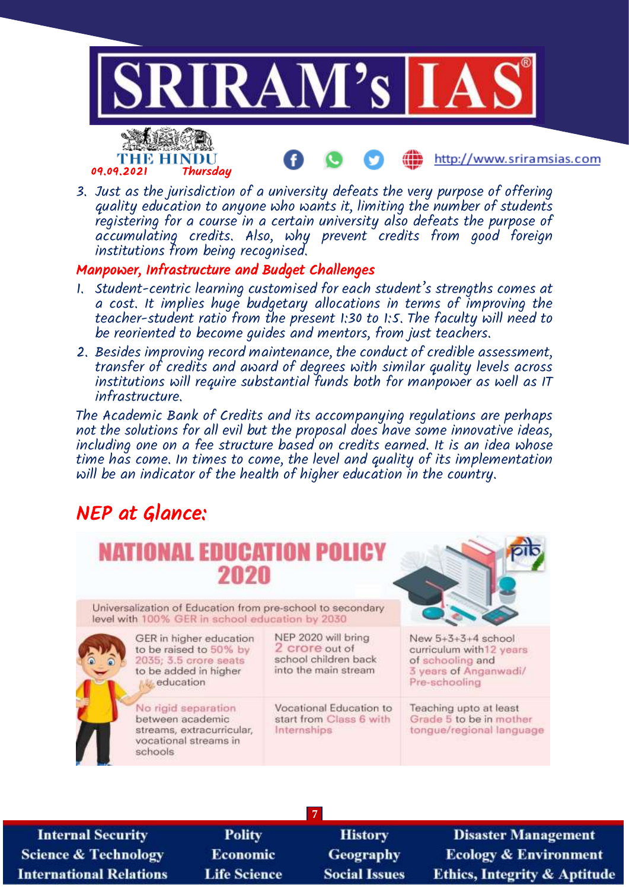

3. Just as the jurisdiction of a university defeats the very purpose of offering quality education to anyone who wants it, limiting the number of students registering for a course in a certain university also defeats the purpose of accumulating credits. Also, why prevent credits from good foreign institutions from being recognised.

## Manpower, Infrastructure and Budget Challenges

- 1. Student-centric learning customised for each student's strengths comes at a cost. It implies huge budgetary allocations in terms of improving the teacher-student ratio from the present 1:30 to 1:5. The faculty will need to be reoriented to become guides and mentors, from just teachers.
- 2. Besides improving record maintenance, the conduct of credible assessment, transfer of credits and award of degrees with similar quality levels across institutions will require substantial funds both for manpower as well as IT infrastructure.

The Academic Bank of Credits and its accompanying regulations are perhaps not the solutions for all evil but the proposal does have some innovative ideas, including one on a fee structure based on credits earned. It is an idea whose time has come. In times to come, the level and quality of its implementation will be an indicator of the health of higher education in the country.

# NEP at Glance:

| <b>NATIONAL EDUCATION POLICY</b><br>2020                                                                         |                                                                                       |                                                                                                                |
|------------------------------------------------------------------------------------------------------------------|---------------------------------------------------------------------------------------|----------------------------------------------------------------------------------------------------------------|
| Universalization of Education from pre-school to secondary<br>level with 100% GER in school education by 2030    |                                                                                       |                                                                                                                |
| GER in higher education<br>to be raised to 50% by<br>2035; 3.5 crore seats<br>to be added in higher<br>education | NEP 2020 will bring<br>2 crore out of<br>school children back<br>into the main stream | New $5+3+3+4$ school<br>curriculum with 12 years<br>of schooling and<br>3 years of Anganwadi/<br>Pre-schooling |
| No rigid separation<br>between academic<br>streams, extracurricular,<br>vocational streams in<br>schools         | Vocational Education to<br>start from Class 6 with<br>Internships                     | Teaching upto at least<br>Grade 5 to be in mother<br>tongue/regional language                                  |
|                                                                                                                  |                                                                                       |                                                                                                                |

**7**

**Internal Security Science & Technology International Relations** 

**Polity** Economic **Life Science** 

History Geography **Social Issues** 

**Disaster Management Ecology & Environment Ethics, Integrity & Aptitude**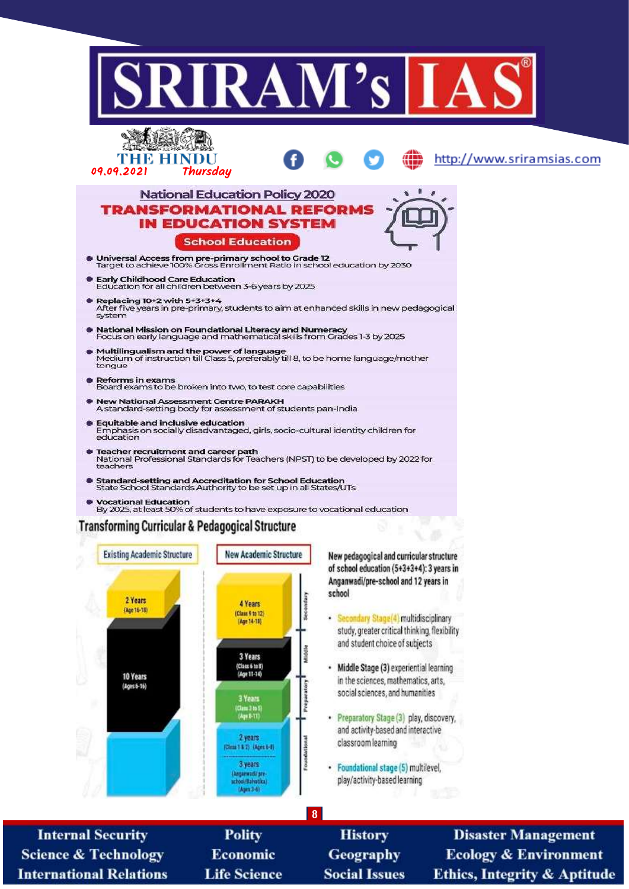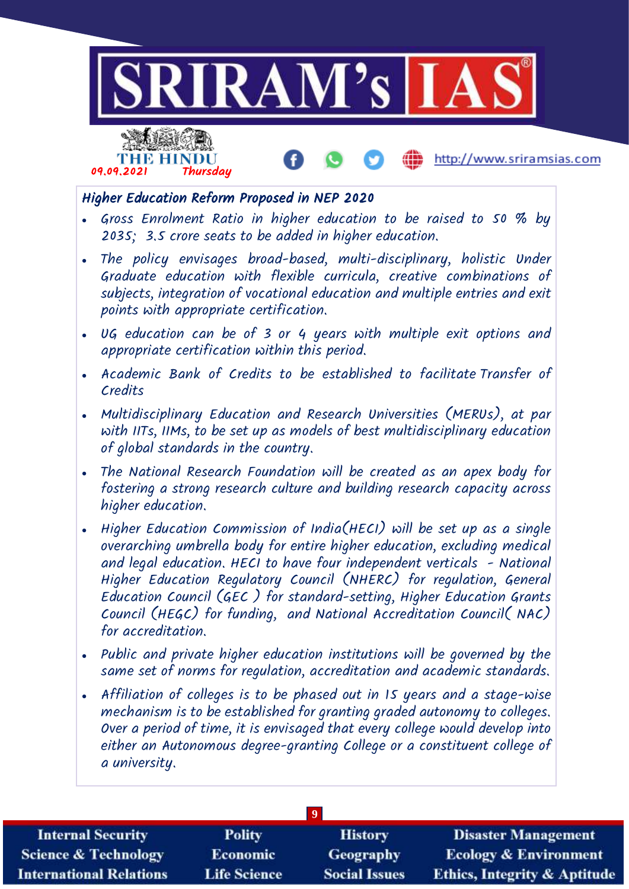

| <b>Internal Security</b> | <b>Polity</b>       | <b>History</b>       | <b>Disaster Manage</b>       |
|--------------------------|---------------------|----------------------|------------------------------|
| Science & Technology     | <b>Economic</b>     | <b>Geography</b>     | <b>Ecology &amp; Enviror</b> |
| International Relations  | <b>Life Science</b> | <b>Social Issues</b> | Ethics, Integrity & A        |

ıment ptitude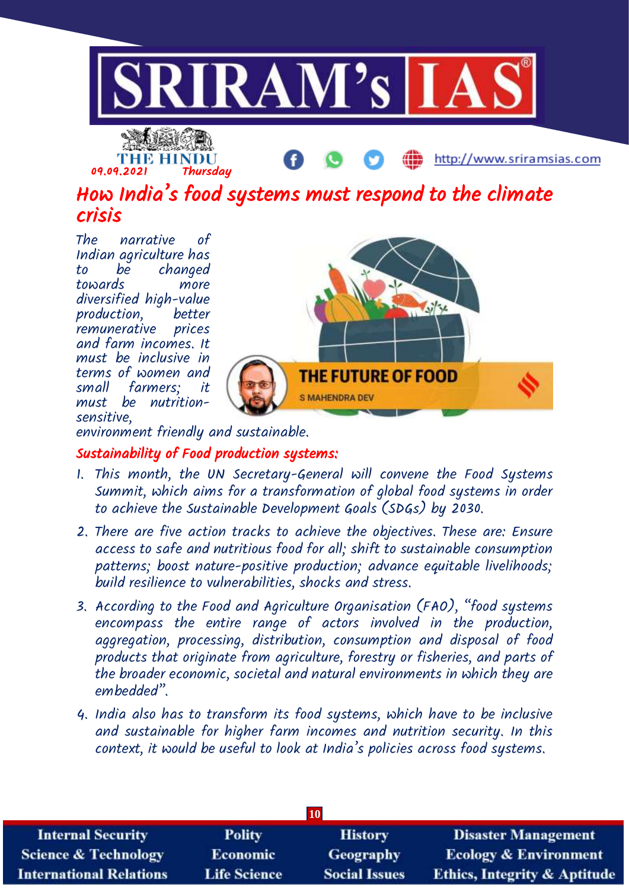

THE HINDU<br>09.09.2021 Thursday

http://www.sriramsias.com

How India's food systems must respond to the climate crisis

The narrative of Indian agriculture has to be changed towards more diversified high-value production, better remunerative prices and farm incomes. It must be inclusive in terms of women and<br>small farmers: it farmers; it must be nutritionsensitive,



environment friendly and sustainable.

## Sustainability of Food production systems:

- 1. This month, the UN Secretary-General will convene the Food Systems Summit, which aims for a transformation of global food systems in order to achieve the Sustainable Development Goals (SDGs) by 2030.
- 2. There are five action tracks to achieve the objectives. These are: Ensure access to safe and nutritious food for all; shift to sustainable consumption patterns; boost nature-positive production; advance equitable livelihoods; build resilience to vulnerabilities, shocks and stress.
- 3. According to the Food and Agriculture Organisation (FAO), "food systems encompass the entire range of actors involved in the production, aggregation, processing, distribution, consumption and disposal of food products that originate from agriculture, forestry or fisheries, and parts of the broader economic, societal and natural environments in which they are embedded".
- 4. India also has to transform its food systems, which have to be inclusive and sustainable for higher farm incomes and nutrition security. In this context, it would be useful to look at India's policies across food systems.

|                                 |                     | 10                   |                                         |
|---------------------------------|---------------------|----------------------|-----------------------------------------|
| <b>Internal Security</b>        | <b>Polity</b>       | <b>History</b>       | <b>Disaster Management</b>              |
| <b>Science &amp; Technology</b> | <b>Economic</b>     | <b>Geography</b>     | <b>Ecology &amp; Environment</b>        |
| <b>International Relations</b>  | <b>Life Science</b> | <b>Social Issues</b> | <b>Ethics, Integrity &amp; Aptitude</b> |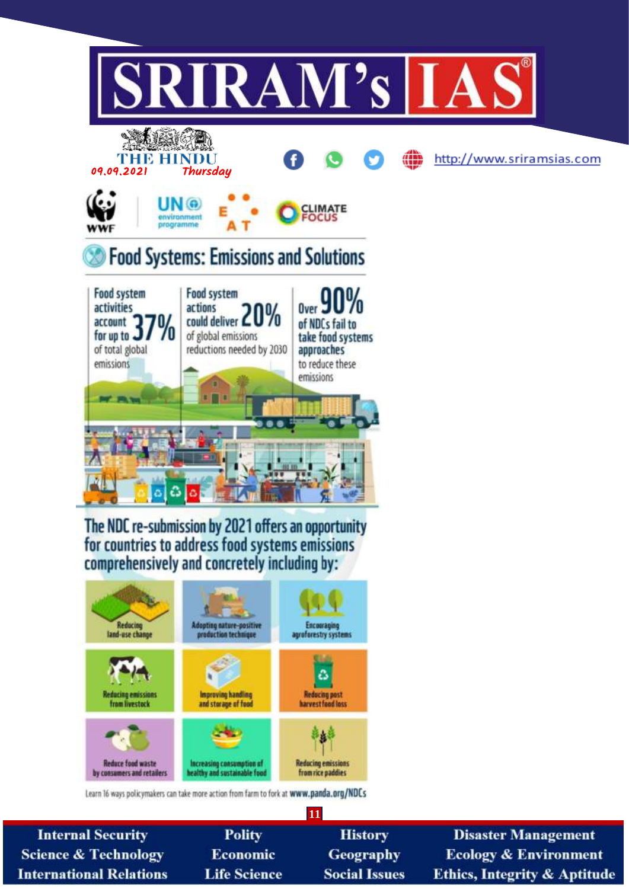

**Internal Security Disaster Management Polity History Science & Technology** Economic **Geography Ecology & Environment International Relations Life Science Social Issues Ethics, Integrity & Aptitude**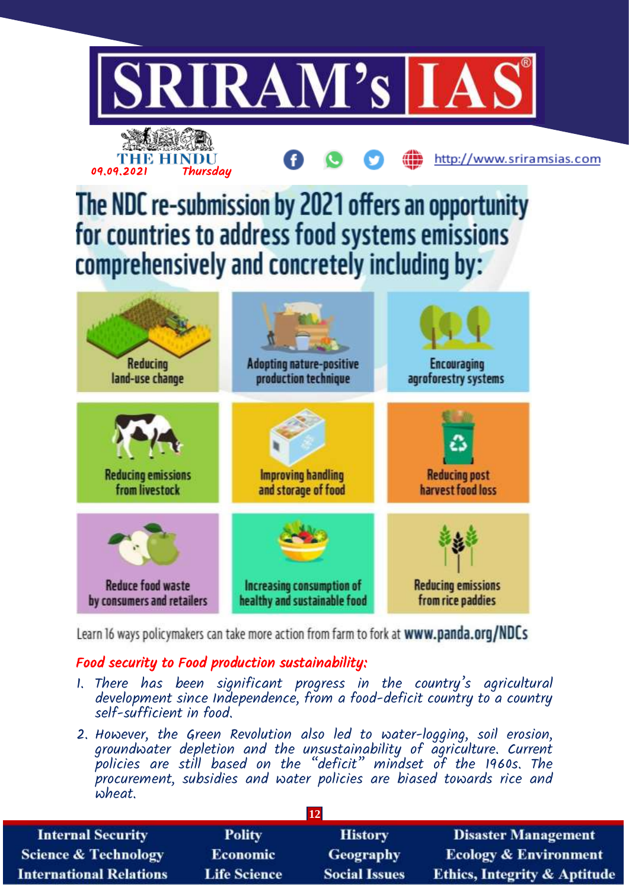

Learn 16 ways policymakers can take more action from farm to fork at www.panda.org/NDCs

# Food security to Food production sustainability:

- 1. There has been significant progress in the country's agricultural development since Independence, from a food-deficit country to a country self-sufficient in food.
- 2. However, the Green Revolution also led to water-logging, soil erosion, groundwater depletion and the unsustainability of agriculture. Current policies are still based on the "deficit" mindset of the 1960s. The procurement, subsidies and water policies are biased towards rice and wheat.

|                                 |                     | 12                   |                                         |
|---------------------------------|---------------------|----------------------|-----------------------------------------|
| <b>Internal Security</b>        | <b>Polity</b>       | <b>History</b>       | <b>Disaster Management</b>              |
| <b>Science &amp; Technology</b> | <b>Economic</b>     | Geography            | <b>Ecology &amp; Environment</b>        |
| <b>International Relations</b>  | <b>Life Science</b> | <b>Social Issues</b> | <b>Ethics, Integrity &amp; Aptitude</b> |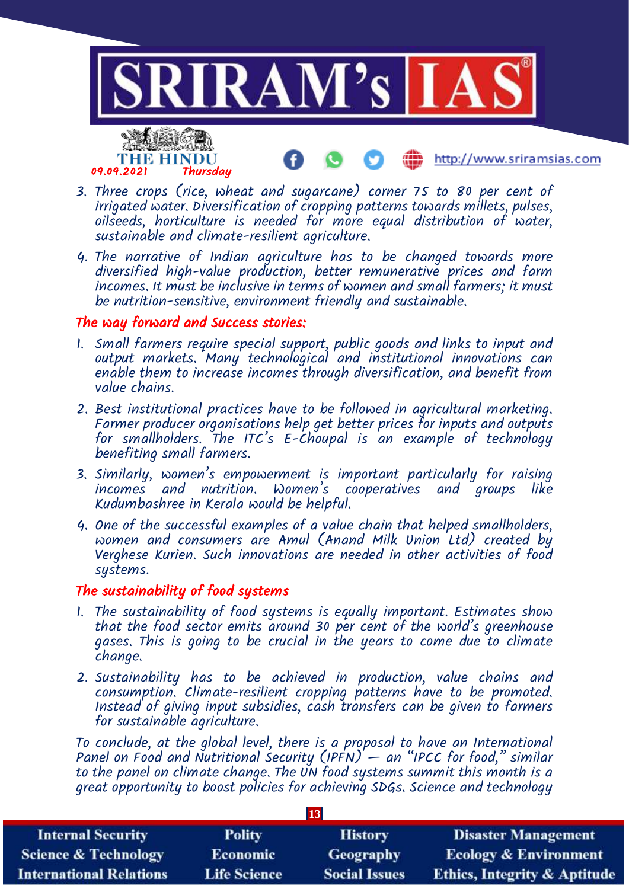

- 3. Three crops (rice, wheat and sugarcane) corner 75 to 80 per cent of irrigated water. Diversification of cropping patterns towards millets, pulses,  $o$ ilseeds, horticulture is needed for more equal distribution of water, sustainable and climate-resilient agriculture.
- 4. The narrative of Indian agriculture has to be changed towards more diversified high-value production, better remunerative prices and farm incomes. It must be inclusive in terms of women and small farmers; it must be nutrition-sensitive, environment friendly and sustainable.

### The way forward and Success stories:

- 1. Small farmers require special support, public goods and links to input and output markets. Many technological and institutional innovations can enable them to increase incomes through diversification, and benefit from value chains.
- 2. Best institutional practices have to be followed in agricultural marketing. Farmer producer organisations help get better prices for inputs and outputs for smallholders. The ITC's  $E$ -Choupal is an example of technology benefiting small farmers.
- 3. Similarly, women's empowerment is important particularly for raising incomes and nutrition. Women's cooperatives and groups like Kudumbashree in Kerala would be helpful.
- 4. One of the successful examples of a value chain that helped smallholders, women and consumers are Amul (Anand Milk Union Ltd) created by Verghese Kurien. Such innovations are needed in other activities of food systems.

## The sustainability of food systems

- 1. The sustainability of food systems is equally important. Estimates show that the food sector emits around 30 per cent of the world's greenhouse gases. This is going to be crucial in the years to come due to climate change.
- 2. Sustainability has to be achieved in production, value chains and consumption. Climate-resilient cropping patterns have to be promoted. Instead of giving input subsidies, cash transfers can be given to farmers for sustainable agriculture.

To conclude, at the global level, there is a proposal to have an International Panel on Food and Nutritional Security (IPFN) — an "IPCC for food," similar to the panel on climate change. The UN food systems summit this month is a great opportunity to boost policies for achieving SDGs. Science and technology

|                                 |                     | 13                   |                                         |
|---------------------------------|---------------------|----------------------|-----------------------------------------|
| <b>Internal Security</b>        | <b>Polity</b>       | <b>History</b>       | <b>Disaster Management</b>              |
| <b>Science &amp; Technology</b> | <b>Economic</b>     | Geography            | <b>Ecology &amp; Environment</b>        |
| <b>International Relations</b>  | <b>Life Science</b> | <b>Social Issues</b> | <b>Ethics, Integrity &amp; Aptitude</b> |